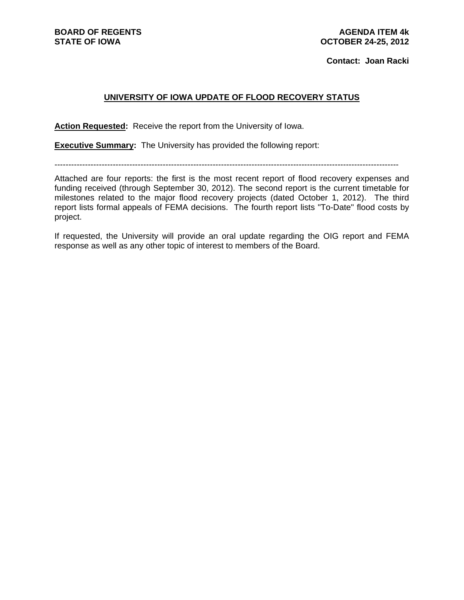**BOARD OF REGENTS STATE OF IOWA** 

**Contact: Joan Racki** 

## **UNIVERSITY OF IOWA UPDATE OF FLOOD RECOVERY STATUS**

**Action Requested:** Receive the report from the University of Iowa.

**Executive Summary:** The University has provided the following report:

----------------------------------------------------------------------------------------------------------------------------

Attached are four reports: the first is the most recent report of flood recovery expenses and funding received (through September 30, 2012). The second report is the current timetable for milestones related to the major flood recovery projects (dated October 1, 2012). The third report lists formal appeals of FEMA decisions. The fourth report lists "To-Date" flood costs by project.

If requested, the University will provide an oral update regarding the OIG report and FEMA response as well as any other topic of interest to members of the Board.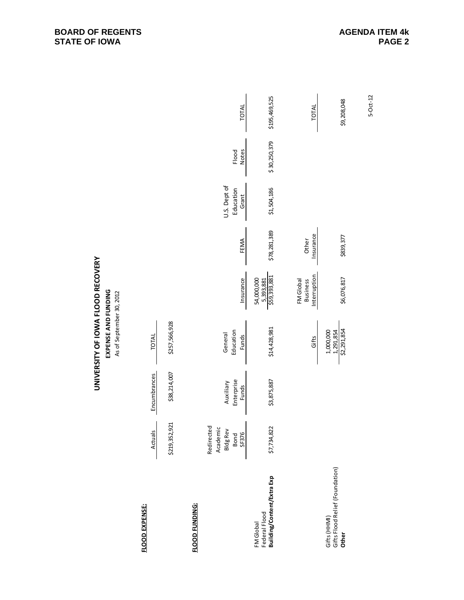|                                                          |                                                            |                                         | EXPENSE AND FUNDING<br>As of September 30, 2012 |                                              |                    |                                    |                       |               |
|----------------------------------------------------------|------------------------------------------------------------|-----------------------------------------|-------------------------------------------------|----------------------------------------------|--------------------|------------------------------------|-----------------------|---------------|
| <b>FLOOD EXPENSE:</b>                                    | Actuals                                                    | Encumbrances                            | TOTAL                                           |                                              |                    |                                    |                       |               |
|                                                          | \$219,352,921                                              | \$38,214,007                            | \$257,566,928                                   |                                              |                    |                                    |                       |               |
| FLOOD FUNDING:                                           |                                                            |                                         |                                                 |                                              |                    |                                    |                       |               |
|                                                          | Redirected<br>Academic<br><b>Bldg Rev</b><br>Bond<br>SF376 | Enterprise<br>Auxiliary<br><b>Funds</b> | Education<br>General<br>Funds                   | Insurance                                    | FEMA               | U.S. Dept of<br>Education<br>Grant | <b>Notes</b><br>Flood | TOTAL         |
| Building/Content/Extra Exp<br>Federal Flood<br>FM Global | \$7,734,822                                                | \$3,875,887                             | \$14,428,981                                    | 5,393,881<br>\$59,393,881<br>54,000,000      | \$78,281,389       | \$1,504,186                        | \$30,250,379          | \$195,469,525 |
|                                                          |                                                            |                                         | Gifts                                           | Interruption<br>FM Global<br><b>Business</b> | Insurance<br>Other |                                    |                       | TOTAL         |
| Gifts Flood Relief (Foundation)<br>Gifts (HHMI)<br>Other |                                                            |                                         | $\frac{1,291,854}{52,291,854}$<br>1,000,000     | \$6,076,817                                  | \$839,377          |                                    |                       | \$9,208,048   |
|                                                          |                                                            |                                         |                                                 |                                              |                    |                                    |                       | 5-Oct-12      |

## UNIVERSITY OF IOWA FLOOD RECOVERY **UNIVERSITY OF IOWA FLOOD RECOVERY**

## **BOARD OF REGENTS STATE OF IOWA**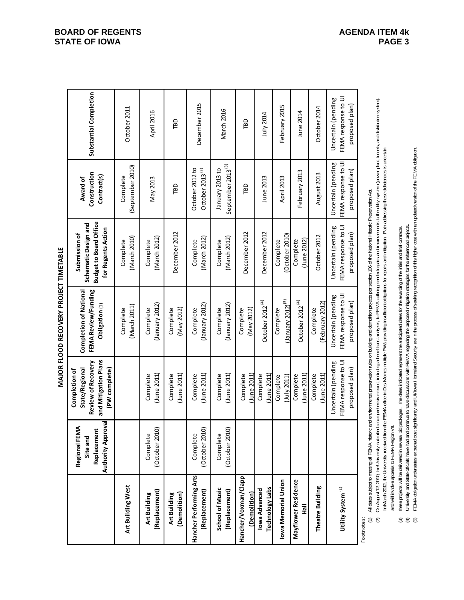MAJOR FLOOD RECOVERY PROJECT TIMETABLE **MAJOR FLOOD RECOVERY PROJECT TIMETABLE**

|                                          | Authority Approval<br>Regional FEMA<br>Replacement<br>Site and | and Mitigation Plans<br>Review of Recovery<br>(PW complete)<br>State/Regional<br>Completion of | <b>Completion of National</b><br>FEMA Review/Funding<br>Obligation (1) | <b>Budget to Board Office</b><br>Schematic Design and<br>for Regents Action<br>Submission of | Construction<br>Contract(s)<br>Award of                     | Substantial Completion                                      |
|------------------------------------------|----------------------------------------------------------------|------------------------------------------------------------------------------------------------|------------------------------------------------------------------------|----------------------------------------------------------------------------------------------|-------------------------------------------------------------|-------------------------------------------------------------|
| Art Building West                        |                                                                |                                                                                                | (March 2011)<br>Complete                                               | (March 2010)<br>Complete                                                                     | (September 2010)<br>Complete                                | October 2011                                                |
| (Replacement)<br>Art Building            | (October 2010)<br>Complete                                     | $($ June 2011)<br>Complete                                                                     | (January 2012)<br>Complete                                             | (March 2012)<br>Complete                                                                     | May 2013                                                    | April 2016                                                  |
| Art Building<br>(Demolition)             |                                                                | $($ June 2011 $)$<br>Complete                                                                  | (May 2012)<br>Complete                                                 | December 2012                                                                                | <b>Gal</b>                                                  | ГBD                                                         |
| Hancher Performing Arts<br>(Replacement) | (October 2010)<br>Complete                                     | $($ June 2011)<br>Complete                                                                     | (January 2012)<br>Complete                                             | (March 2012)<br>Complete                                                                     | October 2012 to<br>October 2013 <sup>(3)</sup>              | December 2015                                               |
| School of Music<br>(Replacement)         | (October 2010)<br>Complete                                     | $($ June 2011)<br>Complete                                                                     | (January 2012)<br>Complete                                             | (March 2012)<br>Complete                                                                     | September 2013 <sup>(3)</sup><br>January 2013 to            | March 2016                                                  |
| Hancher/Voxman/Clapp<br>(Demolition)     |                                                                | $U$ une $2011$<br>Complete                                                                     | (May 2012)<br>Complete                                                 | December 2012                                                                                | ГBD                                                         | ГBD                                                         |
| Technology Labs<br>Iowa Advanced         |                                                                | June 2011)<br>Complete                                                                         | October 2012 $(4)$                                                     | December 2012                                                                                | June 2013                                                   | July 2014                                                   |
| Iowa Memorial Union                      |                                                                | $($ July 2011)<br>Complete                                                                     | $\mu$ anuary 2012) $^{(5)}$<br>Complete                                | (October 2010)<br>Complete                                                                   | April 2013                                                  | February 2015                                               |
| Mayflower Residence<br>흝                 |                                                                | $($ June 2011)<br>Complete                                                                     | October 2012 $^{(4)}$                                                  | (June 2012)<br>Complete                                                                      | February 2013                                               | June 2014                                                   |
| Theatre Building                         |                                                                | $($ June 2011 $)$<br>Complete                                                                  | (February 2012)<br>Complete                                            | October 2012                                                                                 | August 2013                                                 | October 2014                                                |
| Utility System <sup>(2)</sup>            |                                                                | FEMA response to UI<br>Uncertain (pending<br>proposed plan)                                    | FEMA response to UI<br>Uncertain (pending<br>proposed plan)            | FEMA response to UI<br>Uncertain (pending<br>proposed plan)                                  | FEMA response to UI<br>Uncertain (pending<br>proposed plan) | FEMA response to UI<br>Uncertain (pending<br>proposed plan) |
| Enathate                                 |                                                                |                                                                                                |                                                                        |                                                                                              |                                                             |                                                             |

Footnotes:

All dates subject to meeting all FEMA historic and environmental preservation rules on building and demotition projects per section 106 of the National Historic Preservation Act. (1) All dates subject to meeting all FEMA historic and environmental preservation rules on building and demolition projects per section 106 of the National Historic Preservation Act. .<br>Ω<br>Ω

On August 12, 2010, the University submitted a comprehersive report, including a benefit-cost analysis, to FEMA outling needed repairs and improvements to the utility system (power plant, turnels, and distribution system). 2) On August 12, 2010, the University a recomprehensive report, including a benefie cost and yis sus, to FEMA outhing needed repairs and improvements to the ultily system (power plant, tunnels, and distibution system). In March 2012, the University received from the FEMA office in Des Moines multiple PWs providing insufficient obligations for repairs and mitigation. Path addressing these deficiencies is uncertain and will inv dve appeals to FEMA Region VII. and will involve appeals to FEMA Region VII.

- These projects will be delivered in several bid packages. The dates indicated represent the anticipated dates for the awarding of the initial and final contracts. (3) These projects will be delivered in several bid packages. The dates indicated represent the anticipated dates for the awarding of the initial and final contracts.
- (4) University and State officials have had and continue to have discussions with FEMA regarding the proposed mitigation strategies for the referenced projects.  $\odot \odot \odot$
- University and State officials have had continue to have discussions with FEMA regarding the proposed mitigation strategies for the referenced projects.<br>FEMA obligation understates expected cost significantly and Ul/lowa H (5) FEMA obligation understates expected cost significantly and UI/Iowa Homeland Security are in the process of seeking recognition of this higher cost with an updated version of the FEMA obligation.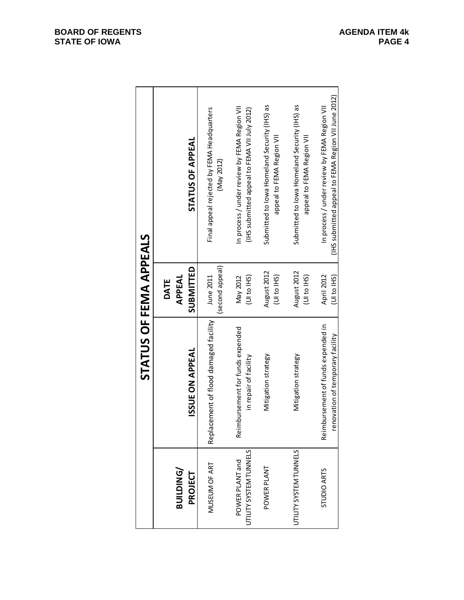|                                           | STATUS OF FEMA APPEALS                                                 |                             |                                                                                                     |
|-------------------------------------------|------------------------------------------------------------------------|-----------------------------|-----------------------------------------------------------------------------------------------------|
| BUILDING/<br>PROJECT                      | <b>ISSUE ON APPEAL</b>                                                 | SUBMITTED<br>APPEAL<br>DATE | STATUS OF APPEAL                                                                                    |
| MUSEUM OF ART                             | Replacement of flood damaged facility                                  | second appeal)<br>June 2011 | Final appeal rejected by FEMA Headquarters<br>(May 2012)                                            |
| UTILITY SYSTEM TUNNELS<br>POWER PLANT and | mbursement for funds expended<br>in repair of facility<br>Reir         | (UI to IHS)<br>May 2012     | In process / under review by FEMA Region VII<br>(IHS submitted appeal to FEMA VII July 2012)        |
| POWER PLANT                               | Mitigation strategy                                                    | August 2012<br>(UI to IHS)  | Submitted to lowa Homeland Security (IHS) as<br>appeal to FEMA Region VII                           |
| UTILITY SYSTEM TUNNELS                    | Mitigation strategy                                                    | August 2012<br>(UI to IHS)  | Submitted to lowa Homeland Security (IHS) as<br>appeal to FEMA Region VII                           |
| <b>STUDIO ARTS</b>                        | Reimbursement of funds expended in<br>renovation of temporary facility | April 2012<br>(UI to IHS)   | (IHS submitted appeal to FEMA Region VII June 2012)<br>In process / under review by FEMA Region VII |